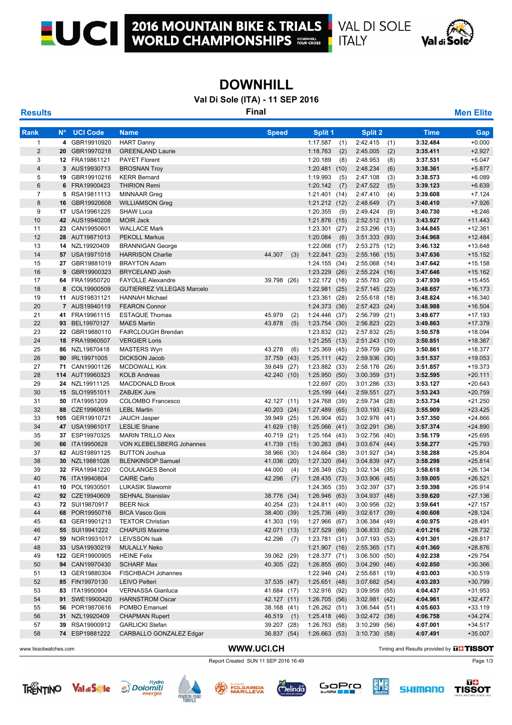

 $1171 - 1$ 

## **DOWNHILL**

**Val Di Sole (ITA) - 11 SEP 2016**

**Results Final Men Elite**

| <b>Rank</b>           | N°. | <b>UCI Code</b>                  | <b>Name</b>                                   | <b>Speed</b>     | Split 1                                 |      | <b>Split 2</b>                  |     | <b>Time</b>                                    | Gap                    |
|-----------------------|-----|----------------------------------|-----------------------------------------------|------------------|-----------------------------------------|------|---------------------------------|-----|------------------------------------------------|------------------------|
| $\mathbf{1}$          |     | 4 GBR19910920                    | <b>HART Danny</b>                             |                  | 1:17.587                                | (1)  | 2:42.415                        | (1) | 3:32.484                                       | $+0.000$               |
| $\overline{2}$        |     | 20 GBR19970218                   | <b>GREENLAND Laurie</b>                       |                  | 1:18.763                                | (2)  | 2:45.005                        | (2) | 3:35.411                                       | $+2.927$               |
| 3                     |     | 12 FRA19861121                   | <b>PAYET Florent</b>                          |                  | 1:20.189                                | (8)  | 2:48.953                        | (8) | 3:37.531                                       | $+5.047$               |
| $\overline{4}$        |     | 3 AUS19930713                    | <b>BROSNAN Troy</b>                           |                  | 1:20.481                                | (10) | 2:48.234                        | (6) | 3:38.361                                       | $+5.877$               |
| 5                     |     | 19 GBR19910216                   | <b>KERR Bernard</b>                           |                  | 1:19.993                                | (5)  | 2:47.108                        | (3) | 3:38.573                                       | $+6.089$               |
| $6\phantom{1}$        | 6   | FRA19900423                      | <b>THIRION Remi</b>                           |                  | 1:20.142                                | (7)  | 2:47.522                        | (5) | 3:39.123                                       | $+6.639$               |
| $\overline{7}$        |     | 5 RSA19811113                    | <b>MINNAAR Greg</b>                           |                  | 1:21.401(14)                            |      | 2:47.410                        | (4) | 3:39.608                                       | $+7.124$               |
| 8                     |     | 16 GBR19920608                   | <b>WILLIAMSON Greg</b>                        |                  | $1:21.212$ (12)                         |      | 2:48.649                        | (7) | 3:40.410                                       | $+7.926$               |
| 9                     |     | 17 USA19961225                   | <b>SHAW Luca</b>                              |                  | 1:20.355                                | (9)  | 2:49.424                        | (9) | 3:40.730                                       | $+8.246$               |
| 10                    |     | 42 AUS19940208                   | <b>MOIR Jack</b>                              |                  | 1:21.876                                | (15) | 2:52.512(11)                    |     | 3:43.927                                       | $+11.443$              |
| 11                    |     | 23 CAN19950601                   | <b>WALLACE Mark</b>                           |                  | 1:23.301                                | (27) | 2:53.296 (13)                   |     | 3:44.845                                       | $+12.361$              |
| 12                    | 28  | AUT19871013                      | <b>PEKOLL Markus</b>                          |                  | 1:20.084                                | (6)  | 3:51.333 (93)                   |     | 3:44.968                                       | $+12.484$              |
| 13                    |     | 14 NZL19920409                   | <b>BRANNIGAN George</b>                       |                  | 1:22.066 (17)                           |      | 2:53.275 (12)                   |     | 3:46.132                                       | +13.648                |
| 14                    |     | 57 USA19971018                   | <b>HARRISON Charlie</b>                       | 44.307           | (3)<br>1:22.841(23)                     |      | $2:55.166$ (15)                 |     | 3:47.636                                       | $+15.152$              |
| 15                    |     | 27 GBR19881019                   | <b>BRAYTON Adam</b>                           |                  | 1:24.155(34)                            |      | 2:55.068 (14)                   |     | 3:47.642                                       | $+15.158$              |
| 16                    |     | 9 GBR19900323                    | <b>BRYCELAND Josh</b>                         |                  | 1:23.229                                | (26) | 2:55.224 (16)                   |     | 3:47.646                                       | +15.162                |
| 17                    |     | 64 FRA19950720                   | <b>FAYOLLE Alexandre</b>                      | 39.798 (26)      | 1:22.172 (18)                           |      | 2:55.783 (20)                   |     | 3:47.939                                       | $+15.455$              |
| 18                    | 8   | COL19900509                      | <b>GUTIERREZ VILLEGAS Marcelo</b>             |                  | 1:22.981(25)                            |      | 2:57.145(23)                    |     | 3:48.657                                       | $+16.173$              |
| 19                    |     | 11 AUS19831121                   | <b>HANNAH Michael</b>                         |                  | 1:23.361(28)                            |      | $2:55.618$ (18)                 |     | 3:48.824                                       | $+16.340$              |
| 20                    |     | 7 AUS19940119                    | <b>FEARON Connor</b>                          |                  | 1:24.373(36)                            |      | $2:57.423$ (24)                 |     | 3:48.988                                       | $+16.504$              |
| 21                    |     | 41 FRA19961115                   | <b>ESTAQUE Thomas</b>                         | 45.979           | 1:24.446 (37)<br>(2)                    |      | 2:56.799 (21)                   |     | 3:49.677                                       | $+17.193$              |
| 22                    |     | 93 BEL19970127                   | <b>MAES Martin</b>                            | 43.878           | (5)<br>1:23.754(30)                     |      | $2:56.823$ (22)                 |     | 3:49.863                                       | $+17.379$              |
| 23                    |     | 22 GBR19880110                   | FAIRCLOUGH Brendan                            |                  | 1:23.832 (32)                           |      | 2:57.832 (25)                   |     | 3:50.578                                       | +18.094                |
| 24                    | 18  | FRA19960507                      | <b>VERGIER Loris</b>                          |                  | $1:21.255$ (13)                         |      | 2:51.243 (10)                   |     | 3:50.851                                       | $+18.367$              |
| 25                    |     | 86 NZL19870418                   | <b>MASTERS Wyn</b>                            | 43.278           | (6)<br>1:25.369(45)                     |      | 2:59.759 (29)                   |     | 3:50.861                                       | $+18.377$              |
| 26                    |     | 90 IRL19971005                   | <b>DICKSON Jacob</b>                          | 37.759<br>(43)   | 1:25.111(42)                            |      | $2:59.936$ (30)                 |     | 3:51.537                                       | $+19.053$              |
| 27                    | 71  | CAN19901126                      | <b>MCDOWALL Kirk</b>                          | 39.649<br>(27)   | 1:23.882 (33)                           |      | 2:58.176 (26)                   |     | 3:51.857                                       | +19.373                |
| 28                    |     | 114 AUT19960323                  | <b>KOLB Andreas</b>                           | 42.240 (10)      | 1:25.950(50)                            |      | $3:00.359$ (31)                 |     | 3:52.595                                       | $+20.111$              |
| 29                    |     | 24 NZL19911125                   | MACDONALD Brook                               |                  | 1:22.697(20)                            |      | $3:01.286$ (33)                 |     | 3:53.127                                       | $+20.643$              |
| 30                    |     | 15 SLO19951011                   | ZABJEK Jure                                   |                  | 1:25.199                                | (44) | $2:59.551$ (27)                 |     | 3:53.243                                       | $+20.759$              |
| 31                    |     | 50 ITA19951209                   | <b>COLOMBO Francesco</b>                      | 42.127 (11)      | 1:24.768 (39)                           |      | 2:59.734 (28)                   |     | 3:53.734                                       | $+21.250$              |
| 32                    |     | 88 CZE19960816                   | <b>LEBL Martin</b>                            | 40.203<br>(24)   | 1:27.489 (65)                           |      | 3:03.193(43)                    |     | 3:55.909                                       | $+23.425$              |
| 33                    | 105 | GER19910721                      | <b>JAUCH Jasper</b>                           | 39.949<br>(25)   | 1:26.904 (62)                           |      | $3:02.976$ (41)                 |     | 3:57.350                                       | $+24.866$              |
| 34                    |     | 47 USA19961017                   | <b>LESLIE Shane</b>                           | 41.629<br>(18)   | $1:25.066$ (41)                         |      | 3:02.291(36)                    |     | 3:57.374                                       | $+24.890$              |
| 35                    |     | 37 ESP19970325                   | <b>MARIN TRILLO Alex</b>                      | 40.719<br>(21)   | 1:25.164(43)                            |      | $3:02.756$ (40)                 |     | 3:58.179                                       | $+25.695$              |
| 36<br>37              | 66  | ITA19950628                      | VON KLEBELSBERG Johannes                      | 41.739<br>(15)   | 1:30.263(84)                            |      | 3:03.674(44)                    |     | 3:58.277                                       | $+25.793$<br>$+25.804$ |
| 38                    |     | 62 AUS19891125<br>30 NZL19881028 | <b>BUTTON Joshua</b>                          | 38.966<br>(30)   | 1:24.664 (38)                           |      | 3:01.927 (34)                   |     | 3:58.288                                       | $+25.814$              |
|                       |     | 32 FRA19941220                   | <b>BLENKINSOP Samuel</b>                      | 41.036<br>(20)   | 1:27.320                                | (64) | 3:04.839(47)                    |     | 3:58.298                                       | $+26.134$              |
| 39<br>40              | 76  | ITA19940804                      | <b>COULANGES Benoit</b><br><b>CAIRE Carlo</b> | 44.000<br>42.296 | (4)<br>1:26.349<br>(7)<br>1:28.435 (73) | (52) | 3:02.134(35)<br>$3:03.906$ (45) |     | 3:58.618<br>3:59.005                           | $+26.521$              |
| 41                    |     | 10 POL19930501                   | <b>LUKASIK Slawomir</b>                       |                  | 1:24.365                                | (35) | 3:02.397 (37)                   |     | 3:59.398                                       | $+26.914$              |
| 42                    |     | 92 CZE19940609                   | <b>SEHNAL Stanislav</b>                       | 38.776 (34)      | 1:26.946 (63)                           |      | 3:04.937(48)                    |     | 3:59.620                                       | $+27.136$              |
| 43                    |     | 72 SUI19870917                   | <b>BEER Nick</b>                              | 40.254 (23)      | 1:24.811 (40)                           |      | 3:00.956 (32)                   |     | 3:59.641                                       | +27.157                |
| 44                    |     | 68 POR19950716                   | <b>BICA Vasco Gois</b>                        | 38.400 (39)      | 1:25.736 (49)                           |      | 3:02.617(39)                    |     | 4:00.608                                       | +28.124                |
| 45                    |     | 63 GER19901213                   | <b>TEXTOR Christian</b>                       | 41.303 (19)      | 1:27.966 (67)                           |      | 3:06.384(49)                    |     | 4:00.975                                       | +28.491                |
| 46                    |     | 55 SUI19941222                   | <b>CHAPUIS Maxime</b>                         | 42.071 (13)      | 1:27.529 (66)                           |      | 3:06.833(52)                    |     | 4:01.216                                       | +28.732                |
| 47                    |     | 59 NOR19931017                   | <b>LEIVSSON Isak</b>                          | 42.296           | 1:23.781 (31)<br>(7)                    |      | 3:07.193(53)                    |     | 4:01.301                                       | +28.817                |
| 48                    |     | 33 USA19930219                   | <b>MULALLY Neko</b>                           |                  | 1:21.907(16)                            |      | 2:55.365 (17)                   |     | 4:01.360                                       | +28.876                |
| 49                    |     | 122 GER19900905                  | <b>HEINE Felix</b>                            | 39.062 (29)      | 1:28.377 (71)                           |      | 3:06.500(50)                    |     | 4:02.238                                       | $+29.754$              |
| 50                    |     | 94 CAN19970430                   | <b>SCHARF Max</b>                             | 40.305 (22)      | 1:26.855(60)                            |      | 3:04.290(46)                    |     | 4:02.850                                       | +30.366                |
| 51                    |     | 13 GER19880304                   | FISCHBACH Johannes                            |                  | 1:22.946 (24)                           |      | 2:55.681 (19)                   |     | 4:03.003                                       | $+30.519$              |
| 52                    |     | 85 FIN19970130                   | <b>LEIVO Petteri</b>                          | 37.535 (47)      | 1:25.651(48)                            |      | 3:07.682(54)                    |     | 4:03.283                                       | +30.799                |
| 53                    |     | 83 ITA19950904                   | <b>VERNASSA Gianluca</b>                      | 41.684 (17)      | 1:32.916 (92)                           |      | 3:09.959 (55)                   |     | 4:04.437                                       | $+31.953$              |
| 54                    |     | 91 SWE19900420                   | <b>HARNSTROM Oscar</b>                        | 42.127 (11)      | 1:26.705 (56)                           |      | 3:02.981(42)                    |     | 4:04.961                                       | $+32.477$              |
| 55                    |     | 56 POR19870616                   | POMBO Emanuel                                 | 38.168 (41)      | 1:26.262 (51)                           |      | 3:06.544(51)                    |     | 4:05.603                                       | $+33.119$              |
| 56                    |     | 31 NZL19920409                   | <b>CHAPMAN Rupert</b>                         | 46.519 (1)       | 1:25.418 (46)                           |      | 3:02.472 (38)                   |     | 4:06.758                                       | $+34.274$              |
| 57                    |     | 39 RSA19900912                   | <b>GARLICKI Stefan</b>                        | 39.207 (28)      | 1:26.763 (58)                           |      | $3:10.299$ (56)                 |     | 4:07.001                                       | $+34.517$              |
| 58                    |     | 74 ESP19881222                   | CARBALLO GONZALEZ Edgar                       | 36.837 (54)      | 1:26.663(53)                            |      | 3:10.730(58)                    |     | 4:07.491                                       | $+35.007$              |
| www.tissotwatches.com |     |                                  | WWW.UCI.CH                                    |                  |                                         |      |                                 |     | Timing and Results provided by <b>UHTISSOT</b> |                        |

### Report Created SUN 11 SEP 2016 16:49 Page 1/3













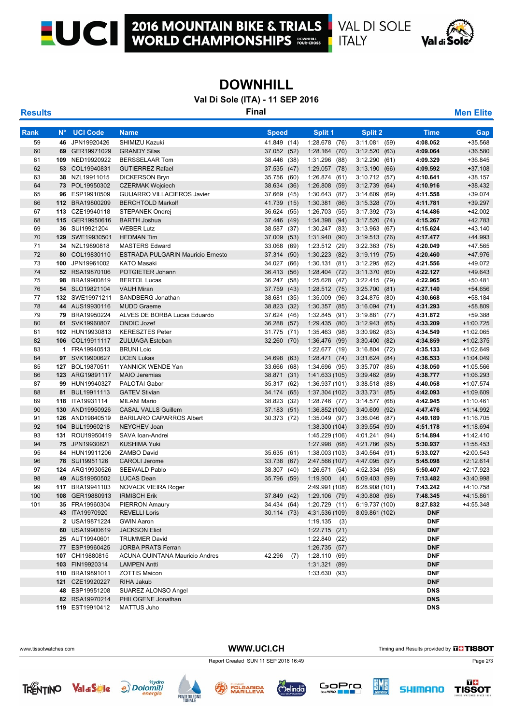$1171 - 1$ 

ı

## **DOWNHILL**

**Val Di Sole (ITA) - 11 SEP 2016**

**Results Final Men Elite**

| <b>Rank</b> | $N^{\circ}$ | <b>UCI Code</b>                    | <b>Name</b>                                      | <b>Speed</b>                     | Split 1                           | Split 2                                   | <b>Time</b>          | Gap                        |
|-------------|-------------|------------------------------------|--------------------------------------------------|----------------------------------|-----------------------------------|-------------------------------------------|----------------------|----------------------------|
| 59          |             | 46 JPN19920426                     | SHIMIZU Kazuki                                   | 41.849 (14)                      | 1:28.678 (76)                     | 3:11.081(59)                              | 4:08.052             | +35.568                    |
| 60          |             | 69 GER19971029                     | <b>GRANDY Silas</b>                              | 37.052 (52)                      | 1:28.164(70)                      | 3:12.520(63)                              | 4:09.064             | +36.580                    |
| 61<br>62    |             | 109 NED19920922                    | <b>BERSSELAAR Tom</b>                            | 38.446<br>(38)                   | 1:31.296 (88)                     | 3:12.290(61)                              | 4:09.329<br>4:09.592 | +36.845<br>$+37.108$       |
| 63          |             | 53 COL19940831<br>38 NZL19911015   | <b>GUTIERREZ Rafael</b><br><b>DICKERSON Bryn</b> | 37.535<br>(47)<br>35.756<br>(60) | 1:29.057 (78)                     | 3:13.190(66)<br>3:10.712(57)              | 4:10.641             | $+38.157$                  |
| 64          |             | 73 POL19950302                     | <b>CZERMAK Wojciech</b>                          | 38.634 (36)                      | 1:26.874 (61)<br>1:26.808<br>(59) | 3:12.739(64)                              | 4:10.916             | $+38.432$                  |
| 65          |             | 96 ESP19910509                     | <b>GUIJARRO VILLACIEROS Javier</b>               | 37.669<br>(45)                   | 1:30.643<br>(87)                  | 3:14.609(69)                              | 4:11.558             | +39.074                    |
| 66          |             | 112 BRA19800209                    | <b>BERCHTOLD Markolf</b>                         | 41.739<br>(15)                   | 1:30.381<br>(86)                  | $3:15.328$ (70)                           | 4:11.781             | $+39.297$                  |
| 67          |             | 113 CZE19940118                    | <b>STEPANEK Ondrej</b>                           | 36.624 (55)                      | 1:26.703 (55)                     | 3:17.392(73)                              | 4:14.486             | $+42.002$                  |
| 68          |             | 115 GER19950616                    | <b>BARTH Joshua</b>                              | 37.446<br>(49)                   | 1:34.398<br>(94)                  | 3:17.520(74)                              | 4:15.267             | $+42.783$                  |
| 69          |             | 36 SUI19921204                     | <b>WEBER Lutz</b>                                | 38.587 (37)                      | 1:30.247 (83)                     | 3:13.963(67)                              | 4:15.624             | $+43.140$                  |
| 70          |             | 129 SWE19930501                    | <b>HEDMAN Tim</b>                                | 37.009<br>(53)                   | 1:31.940<br>(90)                  | 3:19.513(76)                              | 4:17.477             | $+44.993$                  |
| 71          |             | 34 NZL19890818                     | <b>MASTERS Edward</b>                            | 33.068<br>(69)                   | 1:23.512 (29)                     | 3:22.363 (78)                             | 4:20.049             | $+47.565$                  |
| 72          |             | 80 COL19830110                     | <b>ESTRADA PULGARIN Mauricio Ernesto</b>         | 37.314<br>(50)                   | 1:30.223<br>(82)                  | 3:19.119<br>(75)                          | 4:20.460             | +47.976                    |
| 73          |             | 100 JPN19961002                    | <b>KATO Masaki</b>                               | 34.027<br>(66)                   | 1:30.131(81)                      | 3:12.295 (62)                             | 4:21.556             | +49.072                    |
| 74          |             | 52 RSA19870106                     | POTGIETER Johann                                 | 36.413<br>(56)                   | $1:28.404$ (72)                   | 3:11.370 (60)                             | 4:22.127             | $+49.643$                  |
| 75          |             | 98 BRA19900819                     | <b>BERTOL Lucas</b>                              | 36.247 (58)                      | 1:25.628(47)                      | 3:22.415(79)                              | 4:22.965             | $+50.481$                  |
| 76          |             | 54 SLO19821104                     | <b>VAUH Miran</b>                                | 37.759<br>(43)                   | $1:28.512$ (75)                   | 3:25.700(81)                              | 4:27.140             | +54.656                    |
| 77          |             | 132 SWE19971211                    | SANDBERG Jonathan                                | 38.681<br>(35)                   | 1:35.009<br>(96)                  | 3:24.875 (80)                             | 4:30.668             | $+58.184$                  |
| 78          |             | 44 AUS19930116                     | <b>MUDD Graeme</b>                               | 38.823<br>(32)                   | 1:30.357<br>(85)                  | 3:16.094(71)                              | 4:31.293             | +58.809                    |
| 79          |             | 79 BRA19950224                     | ALVES DE BORBA Lucas Eduardo                     | 37.624 (46)                      | 1:32.845 (91)                     | 3:19.881 (77)                             | 4:31.872             | +59.388                    |
| 80          |             | 61 SVK19960807                     | <b>ONDIC Jozef</b>                               | 36.288<br>(57)                   | 1:29.435 (80)                     | 3:12.943(65)                              | 4:33.209             | $+1:00.725$                |
| 81          |             | 102 HUN19930813                    | <b>KERESZTES Peter</b>                           | 31.775 (71)                      | 1:35.463 (98)                     | $3:30.962$ (83)                           | 4:34.549             | $+1:02.065$                |
| 82          |             | 106 COL19911117                    | <b>ZULUAGA Esteban</b>                           | 32.260 (70)                      | 1:36.476 (99)                     | 3:30.400(82)                              | 4:34.859             | $+1:02.375$                |
| 83          |             | 1 FRA19940513                      | <b>BRUNI Loic</b>                                |                                  | 1:22.677 (19)                     | $3:16.804$ (72)                           | 4:35.133             | +1:02.649                  |
| 84          |             | 97 SVK19900627                     | <b>UCEN Lukas</b>                                | 34.698<br>(63)                   | 1:28.471(74)                      | 3:31.624(84)                              | 4:36.533             | $+1:04.049$                |
| 85          |             | 127 BOL19870511                    | YANNICK WENDE Yan                                | 33.666 (68)                      | 1:34.696 (95)                     | 3:35.707 (86)                             | 4:38.050             | +1:05.566                  |
| 86          |             | 123 ARG19891117                    | <b>MAIO Jeremias</b>                             | 38.871<br>(31)                   | 1:41.633 (105)                    | 3:39.462 (89)                             | 4:38.777             | +1:06.293                  |
| 87          |             | 99 HUN19940327                     | PALOTAI Gabor                                    | 35.317 (62)                      | 1:36.937 (101)                    | 3:38.518(88)                              | 4:40.058             | $+1:07.574$                |
| 88          | 81          | BUL19911113                        | <b>GATEV Stivian</b>                             | 34.174 (65)                      | 1:37.304 (102)                    | 3:33.731(85)                              | 4:42.093             | +1:09.609                  |
| 89          |             | 118 ITA19931114                    | <b>MILANI Mario</b>                              | 38.823<br>(32)                   | 1:28.746 (77)                     | 3:14.577 (68)                             | 4:42.945             | $+1:10.461$                |
| 90          |             | 130 AND19950926                    | <b>CASAL VALLS Guillem</b>                       | 37.183<br>(51)                   | 1:36.852 (100)                    | 3:40.609<br>(92)                          | 4:47.476             | $+1:14.992$                |
| 91<br>92    |             | 126 AND19840519<br>104 BUL19960218 | <b>BARILARO CAPARROS Albert</b><br>NEYCHEV Joan  | 30.373 (72)                      | 1:35.049 (97)                     | 3:36.046<br>(87)                          | 4:49.189             | $+1:16.705$<br>$+1:18.694$ |
| 93          |             | 131 ROU19950419                    | SAVA Ioan-Andrei                                 |                                  | 1:38.300(104)<br>1:45.229 (106)   | $3:39.554$ (90)<br>4:01.241 (94)          | 4:51.178<br>5:14.894 | $+1:42.410$                |
| 94          |             | 75 JPN19930821                     | <b>KUSHIMA Yuki</b>                              |                                  | 1:27.998 (68)                     | 4:21.786 (95)                             | 5:30.937             | $+1:58.453$                |
| 95          |             | 84 HUN19911206                     | <b>ZAMBO David</b>                               | 35.635<br>(61)                   | 1:38.003 (103)                    | 3:40.564 (91)                             | 5:33.027             | $+2:00.543$                |
| 96          |             | 78 SUI19951126                     | <b>CAROLI Jerome</b>                             | 33.738<br>(67)                   | 2:47.566 (107)                    | 4:47.095<br>(97)                          | 5:45.098             | $+2:12.614$                |
| 97          |             | 124 ARG19930526                    | <b>SEEWALD Pablo</b>                             | 38.307<br>(40)                   | 1:26.671 (54)                     | 4:52.334 (98)                             | 5:50.407             | $+2:17.923$                |
| 98          |             | 49 AUS19950502                     | <b>LUCAS Dean</b>                                | 35.796<br>(59)                   | 1:19.900<br>(4)                   | 5:09.403 (99)                             | 7:13.482             | +3:40.998                  |
| 99          |             | 117 BRA19941103                    | <b>NOVACK VIEIRA Roger</b>                       |                                  | 2:49.991 (108)                    | 6:28.908 (101)                            | 7:43.242             | +4:10.758                  |
| 100         |             | 108 GER19880913                    | <b>IRMISCH Erik</b>                              | 37.849 (42)                      | $1:29.106$ (79)                   | 4:30.808 (96)                             | 7:48.345             | $+4:15.861$                |
| 101         |             | 35 FRA19960304                     | PIERRON Amaury                                   |                                  | 34.434 (64) 1:20.729 (11)         | 6:19.737 (100)                            | 8:27.832             | +4:55.348                  |
|             |             | 43 ITA19970920                     | <b>REVELLI Loris</b>                             |                                  |                                   | 30.114 (73) 4:31.536 (109) 8:09.861 (102) | <b>DNF</b>           |                            |
|             |             | 2 USA19871224                      | <b>GWIN Aaron</b>                                |                                  | $1:19.135$ (3)                    |                                           | <b>DNF</b>           |                            |
|             |             | 60 USA19900619                     | <b>JACKSON Eliot</b>                             |                                  | 1:22.715(21)                      |                                           | <b>DNF</b>           |                            |
|             |             | 25 AUT19940601                     | <b>TRUMMER David</b>                             |                                  | 1:22.840 (22)                     |                                           | <b>DNF</b>           |                            |
|             |             | 77 ESP19960425                     | <b>JORBA PRATS Ferran</b>                        |                                  | 1:26.735 (57)                     |                                           | <b>DNF</b>           |                            |
|             |             | 107 CHI19880815                    | ACUNA QUINTANA Mauricio Andres                   | 42.296<br>(7)                    | 1:28.110(69)                      |                                           | <b>DNF</b>           |                            |
|             |             | 103 FIN19920314                    | <b>LAMPEN Antti</b>                              |                                  | 1:31.321 (89)                     |                                           | <b>DNF</b>           |                            |
|             |             | 110 BRA19891011                    | <b>ZOTTIS Maicon</b>                             |                                  | 1:33.630 (93)                     |                                           | <b>DNF</b>           |                            |
|             |             | 121 CZE19920227                    | RIHA Jakub                                       |                                  |                                   |                                           | <b>DNF</b>           |                            |
|             |             | 48 ESP19951208                     | SUAREZ ALONSO Angel                              |                                  |                                   |                                           | <b>DNS</b>           |                            |
|             |             | 82 RSA19970214                     | PHILOGENE Jonathan                               |                                  |                                   |                                           | <b>DNS</b>           |                            |
|             |             | 119 EST19910412                    | <b>MATTUS Juho</b>                               |                                  |                                   |                                           | <b>DNS</b>           |                            |

WWW.UCI.CH Timing and Results provided by **That TISSOT** 



Report Created SUN 11 SEP 2016 16:49 Page 2/3

TRENTINO Val di Sigle exposition de la constantitivity de la constantition de la constantition de la constanti<br>Référence de la constantion de la constantion de la constantion de la constantion de la constantion de la const